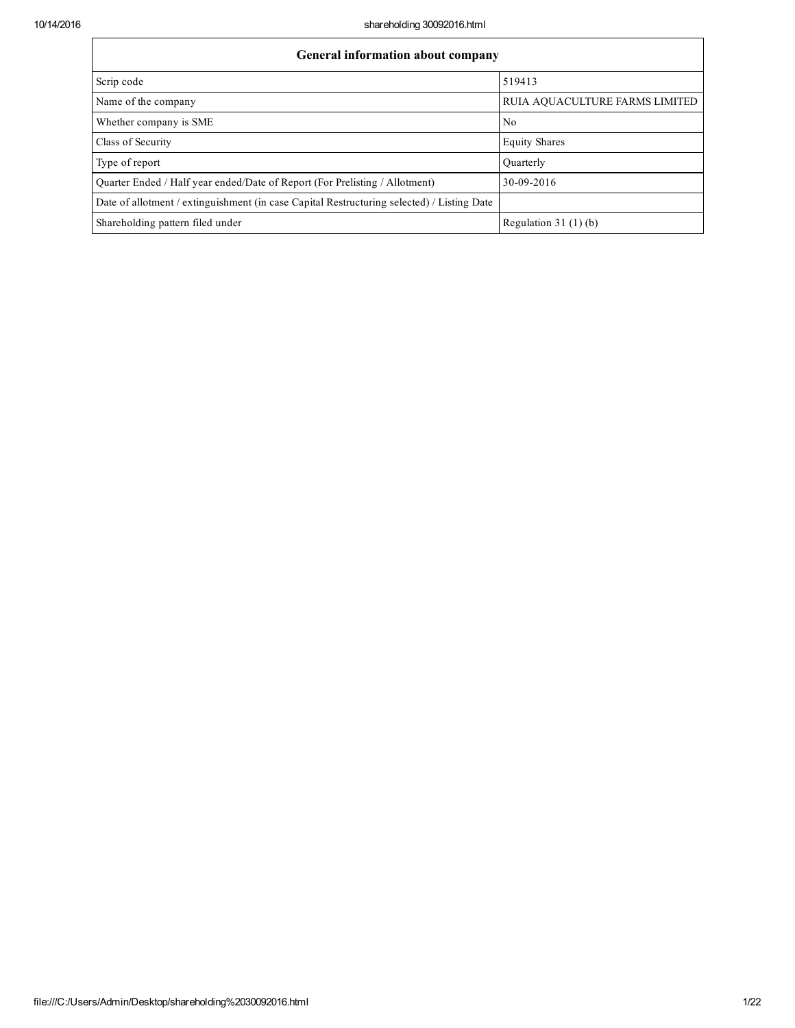$\overline{1}$ 

| <b>General information about company</b>                                                   |                                |  |  |  |  |  |  |
|--------------------------------------------------------------------------------------------|--------------------------------|--|--|--|--|--|--|
| Scrip code                                                                                 | 519413                         |  |  |  |  |  |  |
| Name of the company                                                                        | RUIA AQUACULTURE FARMS LIMITED |  |  |  |  |  |  |
| Whether company is SME                                                                     | N <sub>0</sub>                 |  |  |  |  |  |  |
| Class of Security                                                                          | <b>Equity Shares</b>           |  |  |  |  |  |  |
| Type of report                                                                             | Ouarterly                      |  |  |  |  |  |  |
| Quarter Ended / Half year ended/Date of Report (For Prelisting / Allotment)                | 30-09-2016                     |  |  |  |  |  |  |
| Date of allotment / extinguishment (in case Capital Restructuring selected) / Listing Date |                                |  |  |  |  |  |  |
| Shareholding pattern filed under                                                           | Regulation $31(1)(b)$          |  |  |  |  |  |  |

٦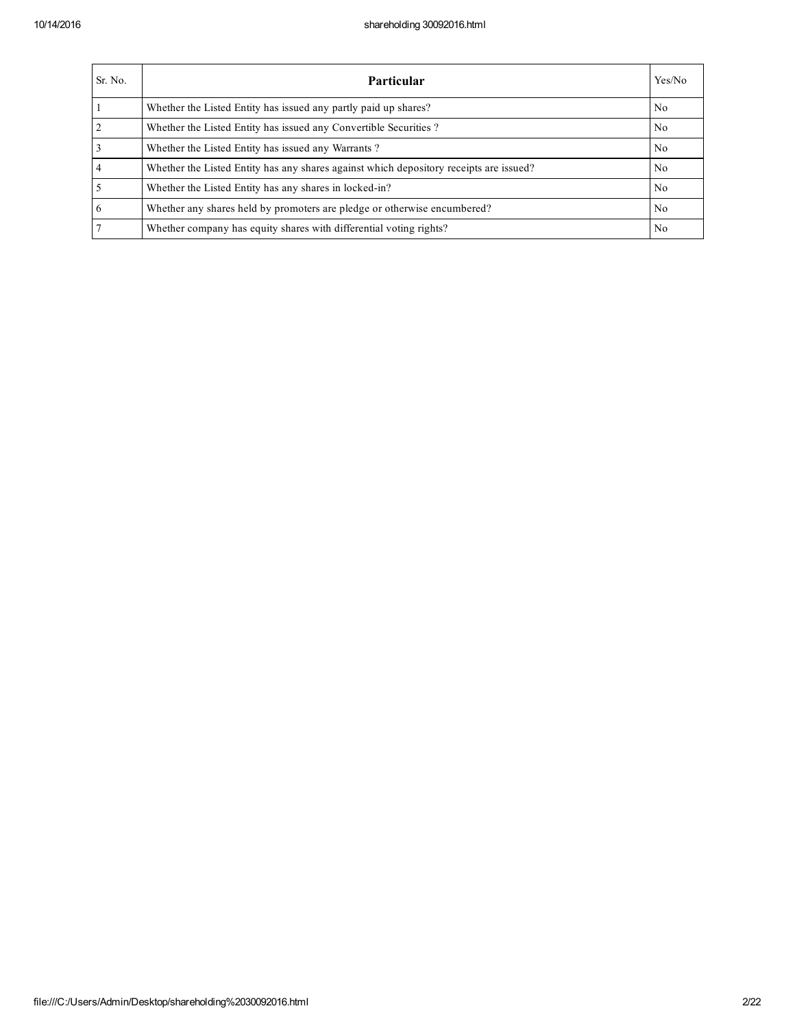| Sr. No.        | <b>Particular</b>                                                                      | Yes/No         |
|----------------|----------------------------------------------------------------------------------------|----------------|
|                | Whether the Listed Entity has issued any partly paid up shares?                        | No.            |
| $\overline{2}$ | Whether the Listed Entity has issued any Convertible Securities?                       | N <sub>0</sub> |
|                | Whether the Listed Entity has issued any Warrants?                                     | N <sub>0</sub> |
| $\overline{4}$ | Whether the Listed Entity has any shares against which depository receipts are issued? | No.            |
|                | Whether the Listed Entity has any shares in locked-in?                                 | N <sub>0</sub> |
| 6              | Whether any shares held by promoters are pledge or otherwise encumbered?               | N <sub>0</sub> |
|                | Whether company has equity shares with differential voting rights?                     | No             |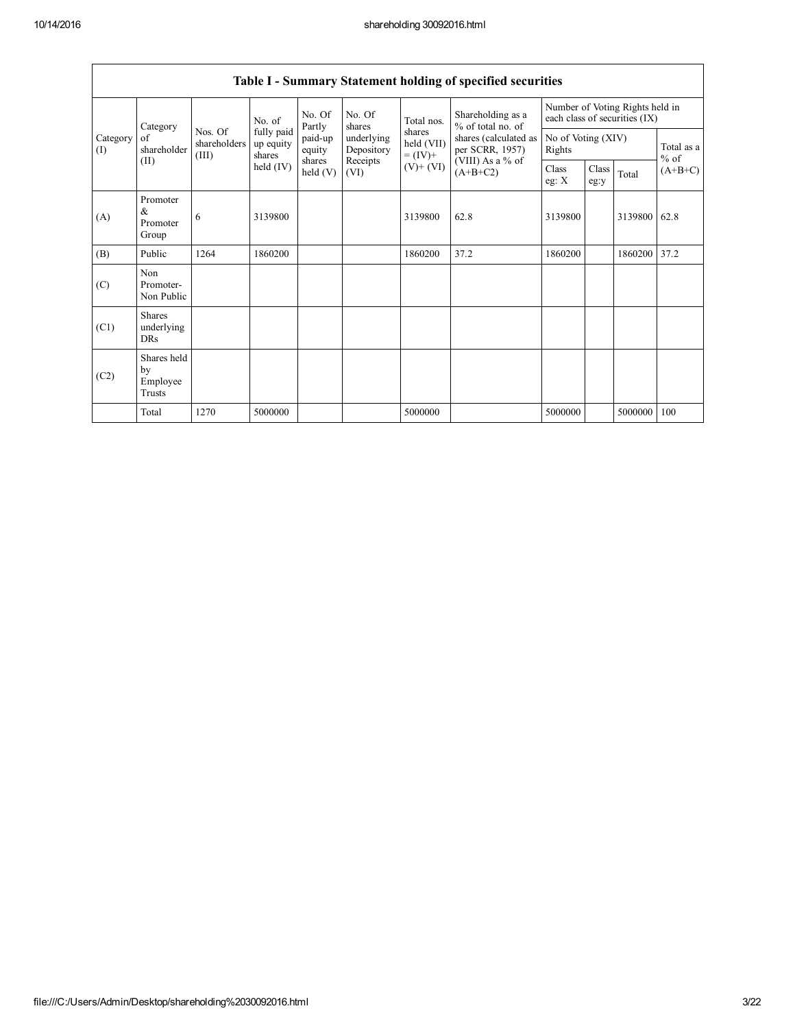|                 | Category                                | No. Of<br>No. Of<br>Shareholding as a<br>Total nos.<br>No. of<br>Partly<br>shares |                                   | % of total no. of  | Number of Voting Rights held in<br>each class of securities (IX) |                      |                                                        |                              |               |         |                      |
|-----------------|-----------------------------------------|-----------------------------------------------------------------------------------|-----------------------------------|--------------------|------------------------------------------------------------------|----------------------|--------------------------------------------------------|------------------------------|---------------|---------|----------------------|
| Category<br>(I) | of<br>shareholder                       | Nos. Of<br>shareholders<br>(III)                                                  | fully paid<br>up equity<br>shares | paid-up<br>equity  | underlying<br>Depository                                         | shares<br>held (VII) | shares (calculated as<br>per SCRR, 1957)<br>$= (IV) +$ | No of Voting (XIV)<br>Rights |               |         | Total as a<br>$%$ of |
|                 | (II)                                    |                                                                                   | held $(IV)$                       | shares<br>held (V) | Receipts<br>(VI)                                                 | $(V)$ + $(VI)$       | (VIII) As a % of<br>$(A+B+C2)$                         | Class<br>eg: $X$             | Class<br>eg:y | Total   | $(A+B+C)$            |
| (A)             | Promoter<br>$\&$<br>Promoter<br>Group   | 6                                                                                 | 3139800                           |                    |                                                                  | 3139800              | 62.8                                                   | 3139800                      |               | 3139800 | 62.8                 |
| (B)             | Public                                  | 1264                                                                              | 1860200                           |                    |                                                                  | 1860200              | 37.2                                                   | 1860200                      |               | 1860200 | 37.2                 |
| (C)             | Non<br>Promoter-<br>Non Public          |                                                                                   |                                   |                    |                                                                  |                      |                                                        |                              |               |         |                      |
| (C1)            | <b>Shares</b><br>underlying<br>DRs      |                                                                                   |                                   |                    |                                                                  |                      |                                                        |                              |               |         |                      |
| (C2)            | Shares held<br>by<br>Employee<br>Trusts |                                                                                   |                                   |                    |                                                                  |                      |                                                        |                              |               |         |                      |
|                 | Total                                   | 1270                                                                              | 5000000                           |                    |                                                                  | 5000000              |                                                        | 5000000                      |               | 5000000 | 100                  |

## Table I - Summary Statement holding of specified securities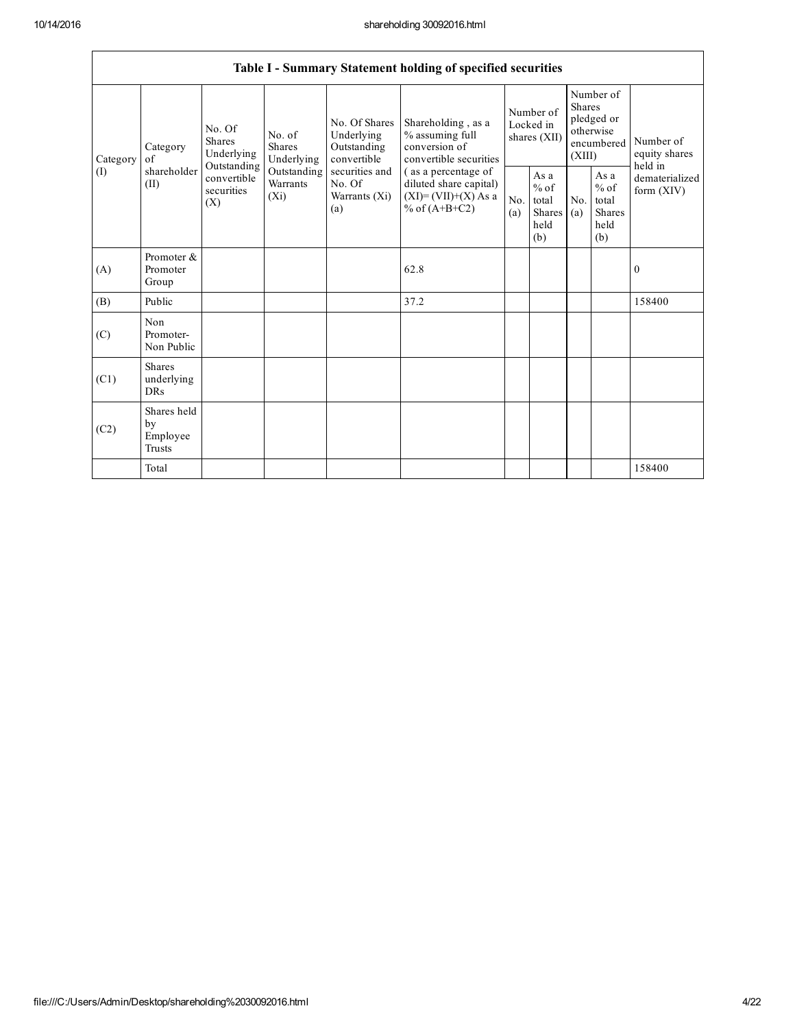|          | Table I - Summary Statement holding of specified securities |                                                     |                                                           |                                                                                                                                               |                                        |                                                         |                                                                               |                                                         |                                       |              |  |  |
|----------|-------------------------------------------------------------|-----------------------------------------------------|-----------------------------------------------------------|-----------------------------------------------------------------------------------------------------------------------------------------------|----------------------------------------|---------------------------------------------------------|-------------------------------------------------------------------------------|---------------------------------------------------------|---------------------------------------|--------------|--|--|
| Category | No. Of<br><b>Shares</b><br>Category<br>of                   | No. of<br><b>Shares</b><br>Underlying<br>Underlying | No. Of Shares<br>Underlying<br>Outstanding<br>convertible | Shareholding, as a<br>% assuming full<br>conversion of<br>convertible securities                                                              | Number of<br>Locked in<br>shares (XII) |                                                         | Number of<br><b>Shares</b><br>pledged or<br>otherwise<br>encumbered<br>(XIII) |                                                         | Number of<br>equity shares<br>held in |              |  |  |
| (I)      | shareholder<br>(II)                                         | Outstanding<br>convertible<br>securities<br>(X)     | Outstanding<br>Warrants<br>$(X_i)$                        | securities and<br>(as a percentage of<br>No. Of<br>diluted share capital)<br>$(XI)=(VII)+(X) As a$<br>Warrants (Xi)<br>% of $(A+B+C2)$<br>(a) | N <sub>o</sub><br>(a)                  | As a<br>$%$ of<br>total<br><b>Shares</b><br>held<br>(b) | No.<br>(a)                                                                    | As a<br>$%$ of<br>total<br><b>Shares</b><br>held<br>(b) | dematerialized<br>form $(XIV)$        |              |  |  |
| (A)      | Promoter &<br>Promoter<br>Group                             |                                                     |                                                           |                                                                                                                                               | 62.8                                   |                                                         |                                                                               |                                                         |                                       | $\mathbf{0}$ |  |  |
| (B)      | Public                                                      |                                                     |                                                           |                                                                                                                                               | 37.2                                   |                                                         |                                                                               |                                                         |                                       | 158400       |  |  |
| (C)      | Non<br>Promoter-<br>Non Public                              |                                                     |                                                           |                                                                                                                                               |                                        |                                                         |                                                                               |                                                         |                                       |              |  |  |
| (C1)     | <b>Shares</b><br>underlying<br><b>DRs</b>                   |                                                     |                                                           |                                                                                                                                               |                                        |                                                         |                                                                               |                                                         |                                       |              |  |  |
| (C2)     | Shares held<br>by<br>Employee<br><b>Trusts</b>              |                                                     |                                                           |                                                                                                                                               |                                        |                                                         |                                                                               |                                                         |                                       |              |  |  |
|          | Total                                                       |                                                     |                                                           |                                                                                                                                               |                                        |                                                         |                                                                               |                                                         |                                       | 158400       |  |  |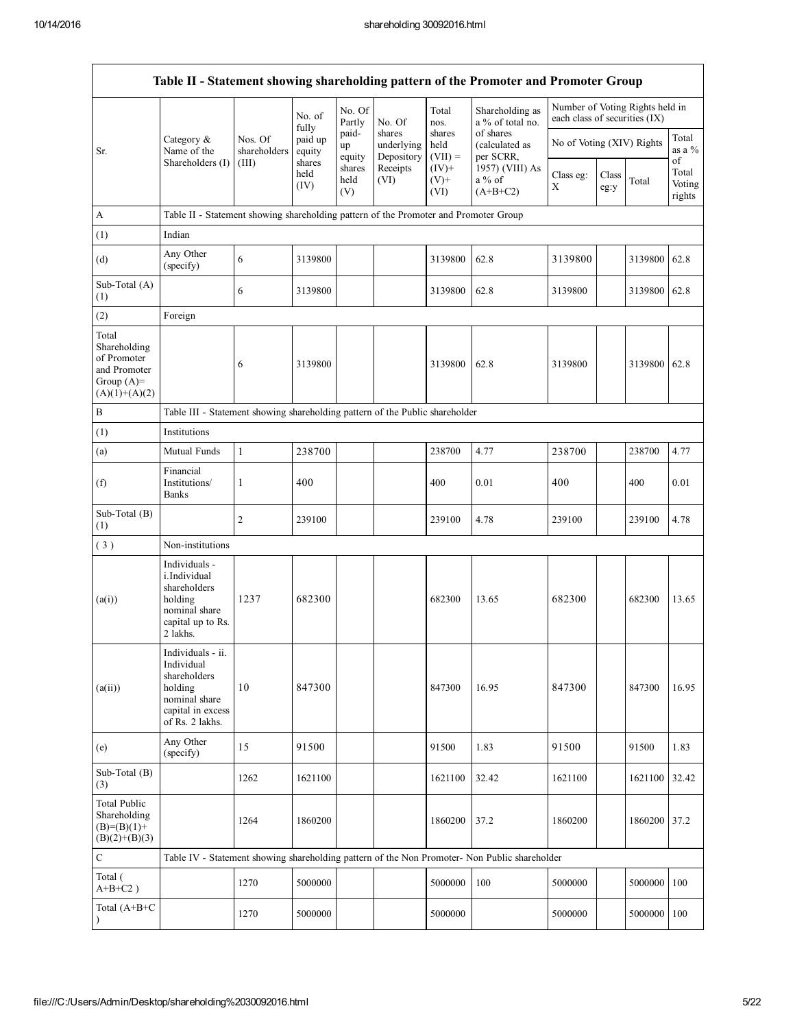Г

|                                                                                         |                                                                                                                     |                         |                        |                       |                                    |                             | Table II - Statement showing shareholding pattern of the Promoter and Promoter Group          |                                                                  |               |              |                           |
|-----------------------------------------------------------------------------------------|---------------------------------------------------------------------------------------------------------------------|-------------------------|------------------------|-----------------------|------------------------------------|-----------------------------|-----------------------------------------------------------------------------------------------|------------------------------------------------------------------|---------------|--------------|---------------------------|
|                                                                                         |                                                                                                                     |                         | No. of<br>fully        | No. Of<br>Partly      | No. Of                             | Total<br>nos.               | Shareholding as<br>a % of total no.                                                           | Number of Voting Rights held in<br>each class of securities (IX) |               |              |                           |
| Sr.                                                                                     | Category &<br>Name of the                                                                                           | Nos. Of<br>shareholders | paid up<br>equity      | paid-<br>up<br>equity | shares<br>underlying<br>Depository | shares<br>held<br>$(VII) =$ | of shares<br>(calculated as<br>per SCRR,                                                      | No of Voting (XIV) Rights                                        |               |              | Total<br>as a %<br>of     |
|                                                                                         | Shareholders (I)                                                                                                    | (III)                   | shares<br>held<br>(IV) | shares<br>held<br>(V) | Receipts<br>(VI)                   | $(IV)$ +<br>$(V)$ +<br>(VI) | 1957) (VIII) As<br>$a\%$ of<br>$(A+B+C2)$                                                     | Class eg:<br>X                                                   | Class<br>eg:y | Total        | Total<br>Voting<br>rights |
| A                                                                                       | Table II - Statement showing shareholding pattern of the Promoter and Promoter Group                                |                         |                        |                       |                                    |                             |                                                                                               |                                                                  |               |              |                           |
| (1)                                                                                     | Indian                                                                                                              |                         |                        |                       |                                    |                             |                                                                                               |                                                                  |               |              |                           |
| (d)                                                                                     | Any Other<br>(specify)                                                                                              | 6                       | 3139800                |                       |                                    | 3139800                     | 62.8                                                                                          | 3139800                                                          |               | 3139800      | 62.8                      |
| Sub-Total (A)<br>(1)                                                                    |                                                                                                                     | 6                       | 3139800                |                       |                                    | 3139800                     | 62.8                                                                                          | 3139800                                                          |               | 3139800 62.8 |                           |
| (2)                                                                                     | Foreign                                                                                                             |                         |                        |                       |                                    |                             |                                                                                               |                                                                  |               |              |                           |
| Total<br>Shareholding<br>of Promoter<br>and Promoter<br>Group $(A)=$<br>$(A)(1)+(A)(2)$ |                                                                                                                     | 6                       | 3139800                |                       |                                    | 3139800                     | 62.8                                                                                          | 3139800                                                          |               | 3139800      | 62.8                      |
| $\, {\bf B}$                                                                            | Table III - Statement showing shareholding pattern of the Public shareholder                                        |                         |                        |                       |                                    |                             |                                                                                               |                                                                  |               |              |                           |
| (1)                                                                                     | Institutions                                                                                                        |                         |                        |                       |                                    |                             |                                                                                               |                                                                  |               |              |                           |
| (a)                                                                                     | Mutual Funds                                                                                                        | $\mathbf{1}$            | 238700                 |                       |                                    | 238700                      | 4.77                                                                                          | 238700                                                           |               | 238700       | 4.77                      |
| (f)                                                                                     | Financial<br>Institutions/<br><b>Banks</b>                                                                          | 1                       | 400                    |                       |                                    | 400                         | 0.01                                                                                          | 400                                                              |               | 400          | 0.01                      |
| Sub-Total (B)<br>(1)                                                                    |                                                                                                                     | 2                       | 239100                 |                       |                                    | 239100                      | 4.78                                                                                          | 239100                                                           |               | 239100       | 4.78                      |
| (3)                                                                                     | Non-institutions                                                                                                    |                         |                        |                       |                                    |                             |                                                                                               |                                                                  |               |              |                           |
| (a(i))                                                                                  | Individuals -<br>i.Individual<br>shareholders<br>holding<br>nominal share<br>capital up to Rs.<br>2 lakhs.          | 1237                    | 682300                 |                       |                                    | 682300                      | 13.65                                                                                         | 682300                                                           |               | 682300       | 13.65                     |
| (a(ii))                                                                                 | Individuals - ii.<br>Individual<br>shareholders<br>holding<br>nominal share<br>capital in excess<br>of Rs. 2 lakhs. | 10                      | 847300                 |                       |                                    | 847300                      | 16.95                                                                                         | 847300                                                           |               | 847300       | 16.95                     |
| (e)                                                                                     | Any Other<br>(specify)                                                                                              | 15                      | 91500                  |                       |                                    | 91500                       | 1.83                                                                                          | 91500                                                            |               | 91500        | 1.83                      |
| Sub-Total (B)<br>(3)                                                                    |                                                                                                                     | 1262                    | 1621100                |                       |                                    | 1621100                     | 32.42                                                                                         | 1621100                                                          |               | 1621100      | 32.42                     |
| <b>Total Public</b><br>Shareholding<br>$(B)=(B)(1)+$<br>$(B)(2)+(B)(3)$                 |                                                                                                                     | 1264                    | 1860200                |                       |                                    | 1860200                     | 37.2                                                                                          | 1860200                                                          |               | 1860200 37.2 |                           |
| $\mathbf C$                                                                             |                                                                                                                     |                         |                        |                       |                                    |                             | Table IV - Statement showing shareholding pattern of the Non Promoter- Non Public shareholder |                                                                  |               |              |                           |
| Total (<br>$A+B+C2$ )                                                                   |                                                                                                                     | 1270                    | 5000000                |                       |                                    | 5000000                     | 100                                                                                           | 5000000                                                          |               | 5000000      | 100                       |
| Total (A+B+C<br>$\lambda$                                                               |                                                                                                                     | 1270                    | 5000000                |                       |                                    | 5000000                     |                                                                                               | 5000000                                                          |               | 5000000      | 100                       |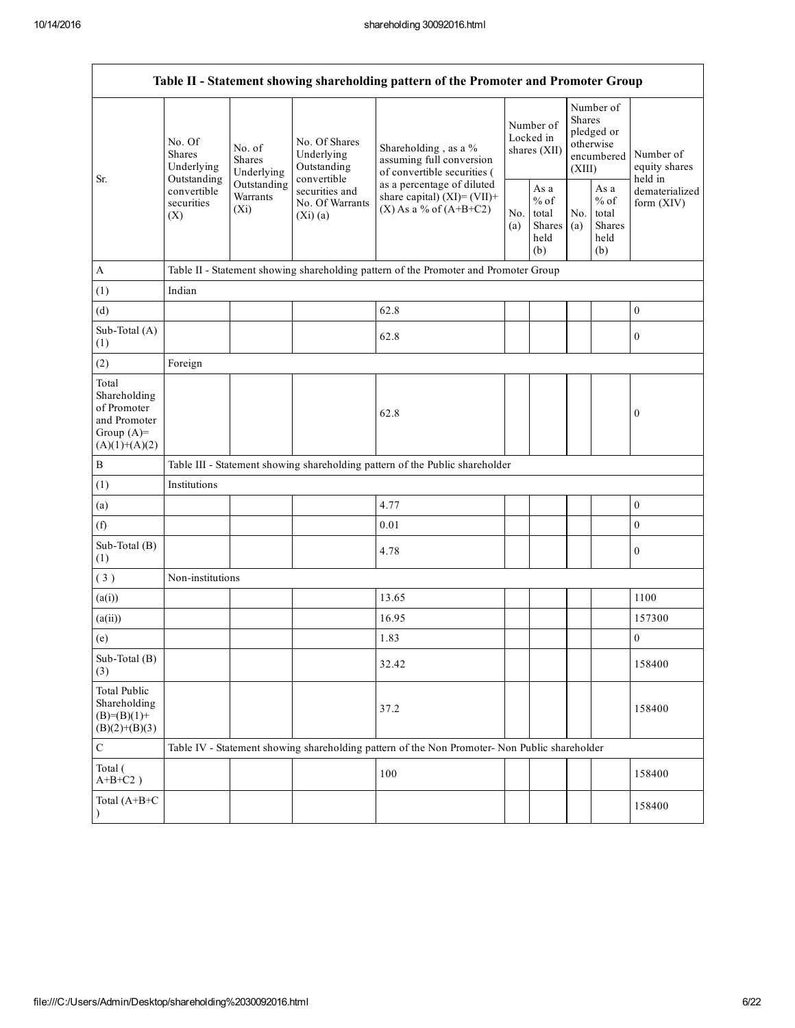| Table II - Statement showing shareholding pattern of the Promoter and Promoter Group    |                                                                                |                                                                                                                  |                                                                                 |                                                                                               |            |                                                                               |            |                                                  |                              |
|-----------------------------------------------------------------------------------------|--------------------------------------------------------------------------------|------------------------------------------------------------------------------------------------------------------|---------------------------------------------------------------------------------|-----------------------------------------------------------------------------------------------|------------|-------------------------------------------------------------------------------|------------|--------------------------------------------------|------------------------------|
| Sr.                                                                                     | No. Of<br>No. of<br><b>Shares</b><br><b>Shares</b><br>Underlying<br>Underlying | No. Of Shares<br>Underlying<br>Outstanding                                                                       | Shareholding, as a %<br>assuming full conversion<br>of convertible securities ( | Number of<br>Locked in<br>shares (XII)                                                        |            | Number of<br><b>Shares</b><br>pledged or<br>otherwise<br>encumbered<br>(XIII) |            | Number of<br>equity shares<br>held in            |                              |
|                                                                                         | convertible<br>securities<br>(X)                                               | convertible<br>Outstanding<br>Outstanding<br>securities and<br>Warrants<br>No. Of Warrants<br>$(X_i)$<br>(Xi)(a) |                                                                                 | as a percentage of diluted<br>share capital) $(XI) = (VII) +$<br>$(X)$ As a % of $(A+B+C2)$   | No.<br>(a) | As a<br>$%$ of<br>total<br>Shares<br>held<br>(b)                              | No.<br>(a) | As a<br>$%$ of<br>total<br>Shares<br>held<br>(b) | dematerialized<br>form (XIV) |
| $\mathbf{A}$                                                                            |                                                                                |                                                                                                                  |                                                                                 | Table II - Statement showing shareholding pattern of the Promoter and Promoter Group          |            |                                                                               |            |                                                  |                              |
| (1)                                                                                     | Indian                                                                         |                                                                                                                  |                                                                                 |                                                                                               |            |                                                                               |            |                                                  |                              |
| (d)                                                                                     |                                                                                |                                                                                                                  |                                                                                 | 62.8                                                                                          |            |                                                                               |            |                                                  | $\boldsymbol{0}$             |
| Sub-Total (A)<br>(1)                                                                    |                                                                                |                                                                                                                  |                                                                                 | 62.8                                                                                          |            |                                                                               |            |                                                  | $\boldsymbol{0}$             |
| (2)                                                                                     | Foreign                                                                        |                                                                                                                  |                                                                                 |                                                                                               |            |                                                                               |            |                                                  |                              |
| Total<br>Shareholding<br>of Promoter<br>and Promoter<br>Group $(A)=$<br>$(A)(1)+(A)(2)$ |                                                                                |                                                                                                                  |                                                                                 | 62.8                                                                                          |            |                                                                               |            |                                                  | $\boldsymbol{0}$             |
| $\, {\bf B}$                                                                            |                                                                                |                                                                                                                  |                                                                                 | Table III - Statement showing shareholding pattern of the Public shareholder                  |            |                                                                               |            |                                                  |                              |
| (1)                                                                                     | Institutions                                                                   |                                                                                                                  |                                                                                 |                                                                                               |            |                                                                               |            |                                                  |                              |
| (a)                                                                                     |                                                                                |                                                                                                                  |                                                                                 | 4.77                                                                                          |            |                                                                               |            |                                                  | $\boldsymbol{0}$             |
| (f)                                                                                     |                                                                                |                                                                                                                  |                                                                                 | 0.01                                                                                          |            |                                                                               |            |                                                  | $\boldsymbol{0}$             |
| Sub-Total (B)<br>(1)                                                                    |                                                                                |                                                                                                                  |                                                                                 | 4.78                                                                                          |            |                                                                               |            |                                                  | $\boldsymbol{0}$             |
| (3)                                                                                     | Non-institutions                                                               |                                                                                                                  |                                                                                 |                                                                                               |            |                                                                               |            |                                                  |                              |
| (a(i))                                                                                  |                                                                                |                                                                                                                  |                                                                                 | 13.65                                                                                         |            |                                                                               |            |                                                  | 1100                         |
| (a(ii))                                                                                 |                                                                                |                                                                                                                  |                                                                                 | 16.95                                                                                         |            |                                                                               |            |                                                  | 157300                       |
| (e)                                                                                     |                                                                                |                                                                                                                  |                                                                                 | 1.83                                                                                          |            |                                                                               |            |                                                  | $\mathbf{0}$                 |
| Sub-Total (B)<br>(3)                                                                    |                                                                                |                                                                                                                  |                                                                                 | 32.42                                                                                         |            |                                                                               |            |                                                  | 158400                       |
| <b>Total Public</b><br>Shareholding<br>$(B)=(B)(1)+$<br>$(B)(2)+(B)(3)$                 |                                                                                |                                                                                                                  |                                                                                 | 37.2                                                                                          |            |                                                                               |            |                                                  | 158400                       |
| $\mathsf C$                                                                             |                                                                                |                                                                                                                  |                                                                                 | Table IV - Statement showing shareholding pattern of the Non Promoter- Non Public shareholder |            |                                                                               |            |                                                  |                              |
| Total (<br>$A+B+C2$ )                                                                   |                                                                                |                                                                                                                  |                                                                                 | 100                                                                                           |            |                                                                               |            |                                                  | 158400                       |
| Total (A+B+C<br>$\lambda$                                                               |                                                                                |                                                                                                                  |                                                                                 |                                                                                               |            |                                                                               |            |                                                  | 158400                       |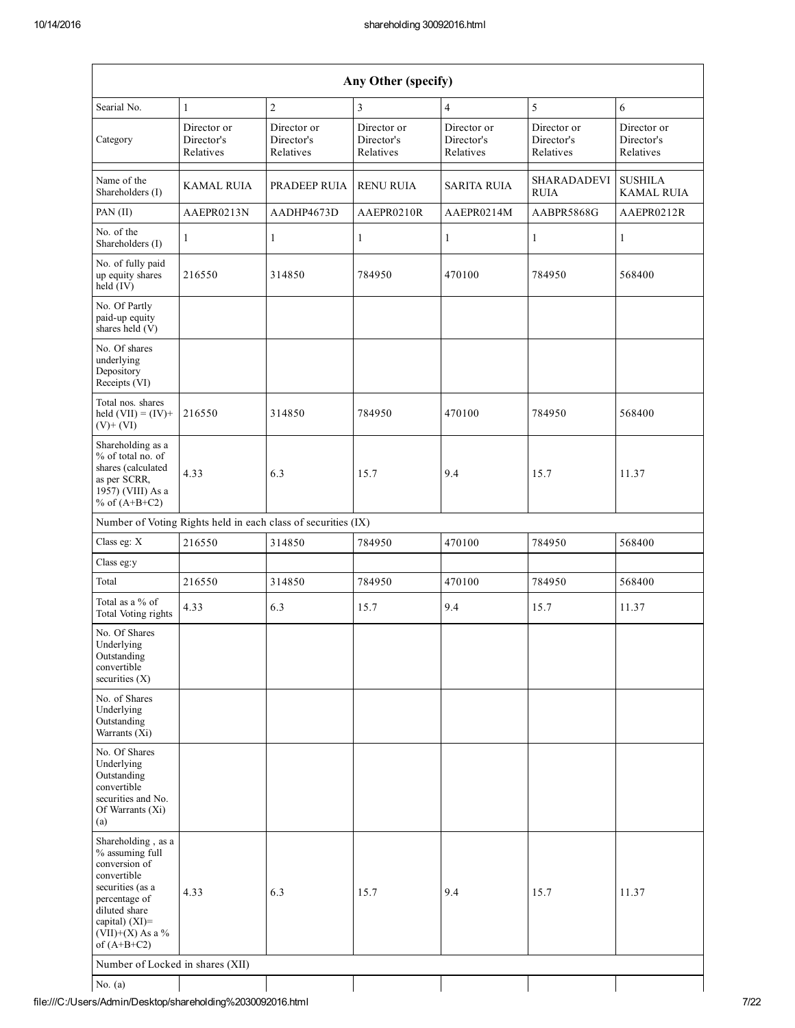| Any Other (specify)                                                                                                                                                                     |                                        |                                                               |                                        |                                        |                                        |                                        |  |  |  |
|-----------------------------------------------------------------------------------------------------------------------------------------------------------------------------------------|----------------------------------------|---------------------------------------------------------------|----------------------------------------|----------------------------------------|----------------------------------------|----------------------------------------|--|--|--|
| Searial No.                                                                                                                                                                             | $\mathbf{1}$                           | $\overline{c}$                                                | 3                                      | $\overline{4}$                         | 5                                      | 6                                      |  |  |  |
| Category                                                                                                                                                                                | Director or<br>Director's<br>Relatives | Director or<br>Director's<br>Relatives                        | Director or<br>Director's<br>Relatives | Director or<br>Director's<br>Relatives | Director or<br>Director's<br>Relatives | Director or<br>Director's<br>Relatives |  |  |  |
| Name of the<br>Shareholders (I)                                                                                                                                                         | KAMAL RUIA                             | PRADEEP RUIA                                                  | <b>RENU RUIA</b>                       | <b>SARITA RUIA</b>                     | <b>SHARADADEVI</b><br><b>RUIA</b>      | <b>SUSHILA</b><br><b>KAMAL RUIA</b>    |  |  |  |
| PAN (II)                                                                                                                                                                                | AAEPR0213N                             | AADHP4673D                                                    | AAEPR0210R                             | AAEPR0214M                             | AABPR5868G                             | AAEPR0212R                             |  |  |  |
| No. of the<br>Shareholders (I)                                                                                                                                                          | $\mathbf{1}$                           | $\mathbf{1}$                                                  | 1                                      | $\mathbf{1}$                           | $\mathbf{1}$                           | $\mathbf{1}$                           |  |  |  |
| No. of fully paid<br>up equity shares<br>$held$ (IV)                                                                                                                                    | 216550                                 | 314850                                                        | 784950                                 | 470100                                 | 784950                                 | 568400                                 |  |  |  |
| No. Of Partly<br>paid-up equity<br>shares held (V)                                                                                                                                      |                                        |                                                               |                                        |                                        |                                        |                                        |  |  |  |
| No. Of shares<br>underlying<br>Depository<br>Receipts (VI)                                                                                                                              |                                        |                                                               |                                        |                                        |                                        |                                        |  |  |  |
| Total nos. shares<br>held $(VII) = (IV) +$<br>$(V)+(VI)$                                                                                                                                | 216550                                 | 314850                                                        | 784950                                 | 470100                                 | 784950                                 | 568400                                 |  |  |  |
| Shareholding as a<br>% of total no. of<br>shares (calculated<br>as per SCRR,<br>1957) (VIII) As a<br>% of $(A+B+C2)$                                                                    | 4.33                                   | 6.3                                                           | 15.7                                   | 9.4                                    | 15.7                                   | 11.37                                  |  |  |  |
|                                                                                                                                                                                         |                                        | Number of Voting Rights held in each class of securities (IX) |                                        |                                        |                                        |                                        |  |  |  |
| Class eg: X                                                                                                                                                                             | 216550                                 | 314850                                                        | 784950                                 | 470100                                 | 784950                                 | 568400                                 |  |  |  |
| Class eg:y                                                                                                                                                                              |                                        |                                                               |                                        |                                        |                                        |                                        |  |  |  |
| Total                                                                                                                                                                                   | 216550                                 | 314850                                                        | 784950                                 | 470100                                 | 784950                                 | 568400                                 |  |  |  |
| Total as a % of<br>Total Voting rights                                                                                                                                                  | 4.33                                   | 6.3                                                           | 15.7                                   | 9.4                                    | 15.7                                   | 11.37                                  |  |  |  |
| No. Of Shares<br>Underlying<br>Outstanding<br>convertible<br>securities $(X)$                                                                                                           |                                        |                                                               |                                        |                                        |                                        |                                        |  |  |  |
| No. of Shares<br>Underlying<br>Outstanding<br>Warrants (Xi)                                                                                                                             |                                        |                                                               |                                        |                                        |                                        |                                        |  |  |  |
| No. Of Shares<br>Underlying<br>Outstanding<br>convertible<br>securities and No.<br>Of Warrants (Xi)<br>(a)                                                                              |                                        |                                                               |                                        |                                        |                                        |                                        |  |  |  |
| Shareholding, as a<br>% assuming full<br>conversion of<br>convertible<br>securities (as a<br>percentage of<br>diluted share<br>capital) $(XI)$ =<br>$(VII)+(X)$ As a %<br>of $(A+B+C2)$ | 4.33                                   | 6.3                                                           | 15.7                                   | 9.4                                    | 15.7                                   | 11.37                                  |  |  |  |
| Number of Locked in shares (XII)                                                                                                                                                        |                                        |                                                               |                                        |                                        |                                        |                                        |  |  |  |
| No. $(a)$                                                                                                                                                                               |                                        |                                                               |                                        |                                        |                                        |                                        |  |  |  |

file:///C:/Users/Admin/Desktop/shareholding%2030092016.html 7/22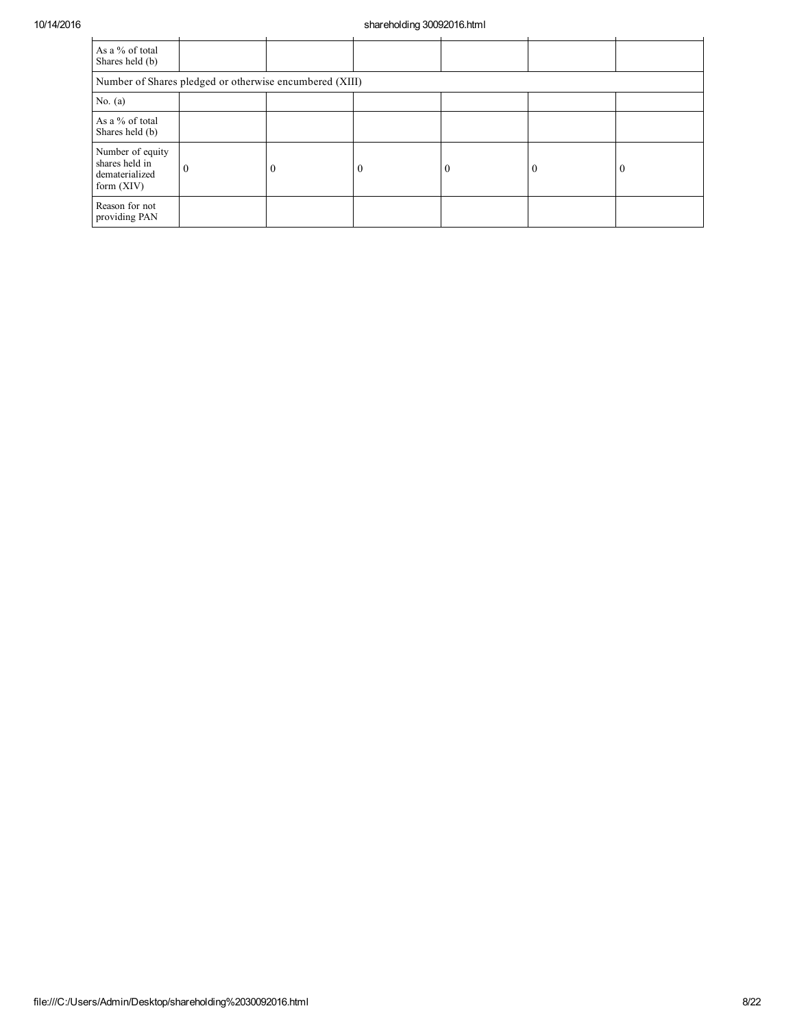## 10/14/2016 shareholding 30092016.html

| As a % of total<br>Shares held (b)                                   |          |          |          |          |  |  |  |  |  |
|----------------------------------------------------------------------|----------|----------|----------|----------|--|--|--|--|--|
| Number of Shares pledged or otherwise encumbered (XIII)              |          |          |          |          |  |  |  |  |  |
| No. $(a)$                                                            |          |          |          |          |  |  |  |  |  |
| As a % of total<br>Shares held (b)                                   |          |          |          |          |  |  |  |  |  |
| Number of equity<br>shares held in<br>dematerialized<br>form $(XIV)$ | $\theta$ | $\theta$ | $\left($ | $\Omega$ |  |  |  |  |  |
| Reason for not<br>providing PAN                                      |          |          |          |          |  |  |  |  |  |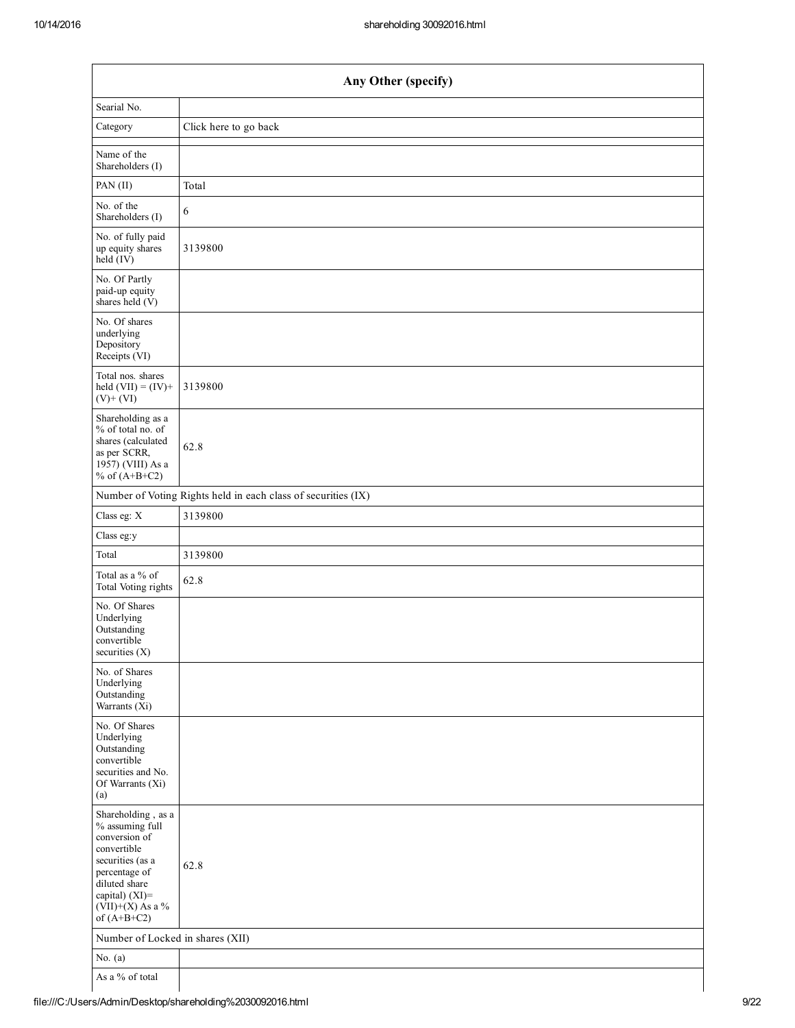| Any Other (specify)                                                                                                                                                                  |                                                               |  |  |  |  |  |  |
|--------------------------------------------------------------------------------------------------------------------------------------------------------------------------------------|---------------------------------------------------------------|--|--|--|--|--|--|
| Searial No.                                                                                                                                                                          |                                                               |  |  |  |  |  |  |
| Category                                                                                                                                                                             | Click here to go back                                         |  |  |  |  |  |  |
| Name of the<br>Shareholders (I)                                                                                                                                                      |                                                               |  |  |  |  |  |  |
| PAN (II)                                                                                                                                                                             | Total                                                         |  |  |  |  |  |  |
| No. of the<br>Shareholders (I)                                                                                                                                                       | $\sqrt{6}$                                                    |  |  |  |  |  |  |
| No. of fully paid<br>up equity shares<br>held (IV)                                                                                                                                   | 3139800                                                       |  |  |  |  |  |  |
| No. Of Partly<br>paid-up equity<br>shares held (V)                                                                                                                                   |                                                               |  |  |  |  |  |  |
| No. Of shares<br>underlying<br>Depository<br>Receipts (VI)                                                                                                                           |                                                               |  |  |  |  |  |  |
| Total nos. shares<br>held $(VII) = (IV) +$<br>$(V)$ + $(VI)$                                                                                                                         | 3139800                                                       |  |  |  |  |  |  |
| Shareholding as a<br>% of total no. of<br>shares (calculated<br>as per SCRR,<br>1957) (VIII) As a<br>% of $(A+B+C2)$                                                                 | 62.8                                                          |  |  |  |  |  |  |
|                                                                                                                                                                                      | Number of Voting Rights held in each class of securities (IX) |  |  |  |  |  |  |
| Class eg: X                                                                                                                                                                          | 3139800                                                       |  |  |  |  |  |  |
| Class eg:y                                                                                                                                                                           |                                                               |  |  |  |  |  |  |
| Total                                                                                                                                                                                | 3139800                                                       |  |  |  |  |  |  |
| Total as a % of<br>Total Voting rights                                                                                                                                               | 62.8                                                          |  |  |  |  |  |  |
| No. Of Shares<br>Underlying<br>Outstanding<br>convertible<br>securities $(X)$                                                                                                        |                                                               |  |  |  |  |  |  |
| No. of Shares<br>Underlying<br>Outstanding<br>Warrants (Xi)                                                                                                                          |                                                               |  |  |  |  |  |  |
| No. Of Shares<br>Underlying<br>Outstanding<br>convertible<br>securities and No.<br>Of Warrants (Xi)<br>(a)                                                                           |                                                               |  |  |  |  |  |  |
| Shareholding, as a<br>% assuming full<br>conversion of<br>convertible<br>securities (as a<br>percentage of<br>diluted share<br>capital) (XI)=<br>$(VII)+(X)$ As a %<br>of $(A+B+C2)$ | 62.8                                                          |  |  |  |  |  |  |
| Number of Locked in shares (XII)                                                                                                                                                     |                                                               |  |  |  |  |  |  |
| No. $(a)$                                                                                                                                                                            |                                                               |  |  |  |  |  |  |
| As a % of total                                                                                                                                                                      |                                                               |  |  |  |  |  |  |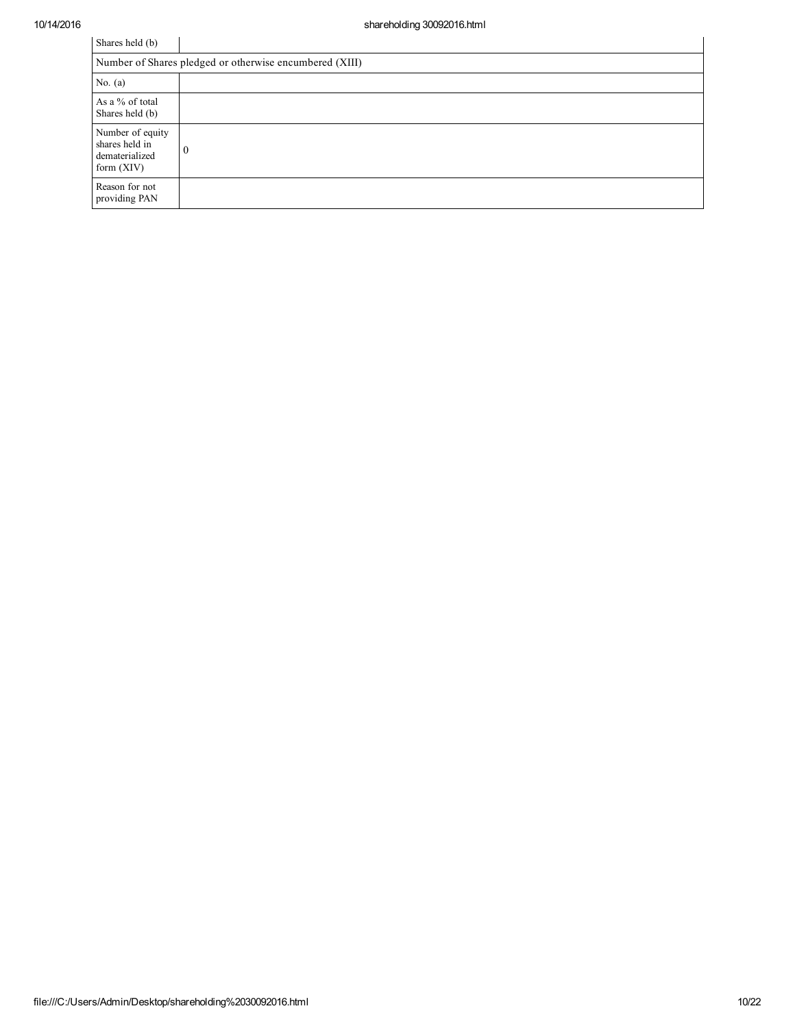| Shares held (b)                                                      |          |  |  |  |  |  |  |
|----------------------------------------------------------------------|----------|--|--|--|--|--|--|
| Number of Shares pledged or otherwise encumbered (XIII)              |          |  |  |  |  |  |  |
| No. $(a)$                                                            |          |  |  |  |  |  |  |
| As a % of total<br>Shares held (b)                                   |          |  |  |  |  |  |  |
| Number of equity<br>shares held in<br>dematerialized<br>form $(XIV)$ | $\theta$ |  |  |  |  |  |  |
| Reason for not<br>providing PAN                                      |          |  |  |  |  |  |  |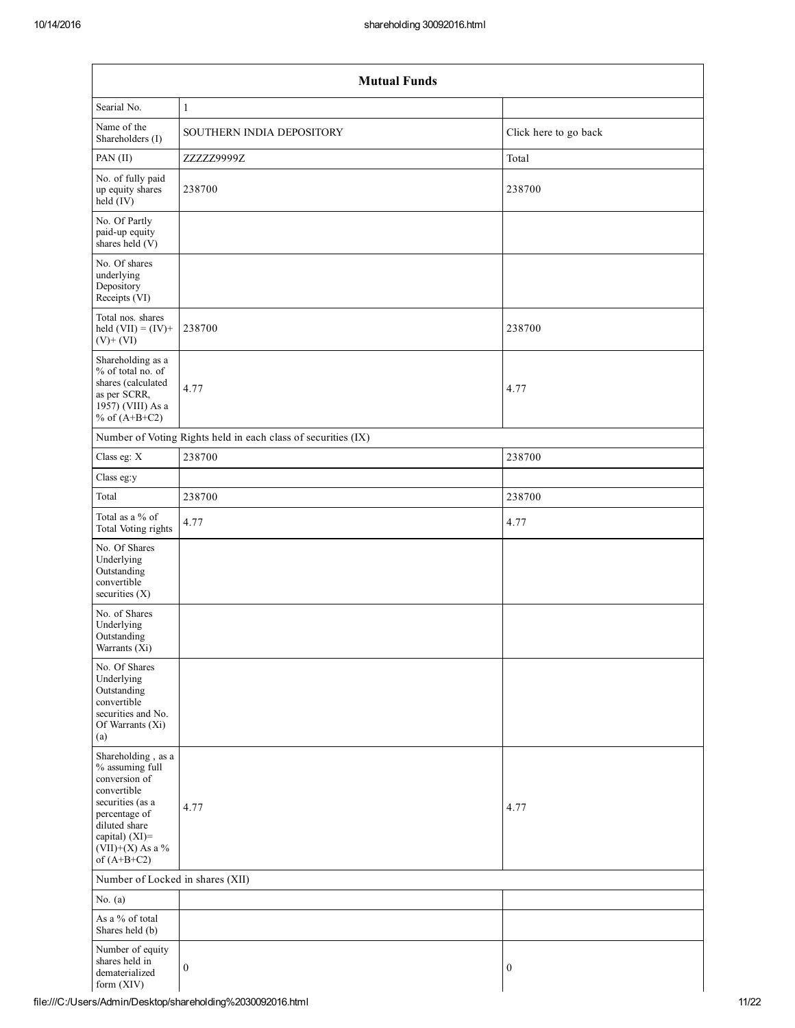| <b>Mutual Funds</b>                                                                                                                                                                  |                                                               |                       |  |  |  |  |  |  |  |
|--------------------------------------------------------------------------------------------------------------------------------------------------------------------------------------|---------------------------------------------------------------|-----------------------|--|--|--|--|--|--|--|
| Searial No.                                                                                                                                                                          | $\mathbf{1}$                                                  |                       |  |  |  |  |  |  |  |
| Name of the<br>Shareholders (I)                                                                                                                                                      | SOUTHERN INDIA DEPOSITORY                                     | Click here to go back |  |  |  |  |  |  |  |
| PAN (II)                                                                                                                                                                             | ZZZZZ9999Z                                                    | Total                 |  |  |  |  |  |  |  |
| No. of fully paid<br>up equity shares<br>held (IV)                                                                                                                                   | 238700                                                        | 238700                |  |  |  |  |  |  |  |
| No. Of Partly<br>paid-up equity<br>shares held (V)                                                                                                                                   |                                                               |                       |  |  |  |  |  |  |  |
| No. Of shares<br>underlying<br>Depository<br>Receipts (VI)                                                                                                                           |                                                               |                       |  |  |  |  |  |  |  |
| Total nos. shares<br>held $(VII) = (IV) +$<br>$(V)+(VI)$                                                                                                                             | 238700                                                        | 238700                |  |  |  |  |  |  |  |
| Shareholding as a<br>% of total no. of<br>shares (calculated<br>as per SCRR,<br>1957) (VIII) As a<br>% of $(A+B+C2)$                                                                 | 4.77                                                          | 4.77                  |  |  |  |  |  |  |  |
|                                                                                                                                                                                      | Number of Voting Rights held in each class of securities (IX) |                       |  |  |  |  |  |  |  |
| Class eg: X                                                                                                                                                                          | 238700                                                        | 238700                |  |  |  |  |  |  |  |
| Class eg:y                                                                                                                                                                           |                                                               |                       |  |  |  |  |  |  |  |
| Total                                                                                                                                                                                | 238700                                                        | 238700                |  |  |  |  |  |  |  |
| Total as a % of<br>Total Voting rights                                                                                                                                               | 4.77                                                          | 4.77                  |  |  |  |  |  |  |  |
| No. Of Shares<br>Underlying<br>Outstanding<br>convertible<br>securities $(X)$                                                                                                        |                                                               |                       |  |  |  |  |  |  |  |
| No. of Shares<br>Underlying<br>Outstanding<br>Warrants $(X_i)$                                                                                                                       |                                                               |                       |  |  |  |  |  |  |  |
| No. Of Shares<br>Underlying<br>Outstanding<br>convertible<br>securities and No.<br>Of Warrants (Xi)<br>(a)                                                                           |                                                               |                       |  |  |  |  |  |  |  |
| Shareholding, as a<br>% assuming full<br>conversion of<br>convertible<br>securities (as a<br>percentage of<br>diluted share<br>capital) (XI)=<br>$(VII)+(X)$ As a %<br>of $(A+B+C2)$ | 4.77                                                          | 4.77                  |  |  |  |  |  |  |  |
|                                                                                                                                                                                      | Number of Locked in shares (XII)                              |                       |  |  |  |  |  |  |  |
| No. $(a)$                                                                                                                                                                            |                                                               |                       |  |  |  |  |  |  |  |
| As a % of total<br>Shares held (b)                                                                                                                                                   |                                                               |                       |  |  |  |  |  |  |  |
| Number of equity<br>shares held in<br>dematerialized<br>form (XIV)                                                                                                                   | $\boldsymbol{0}$                                              | $\boldsymbol{0}$      |  |  |  |  |  |  |  |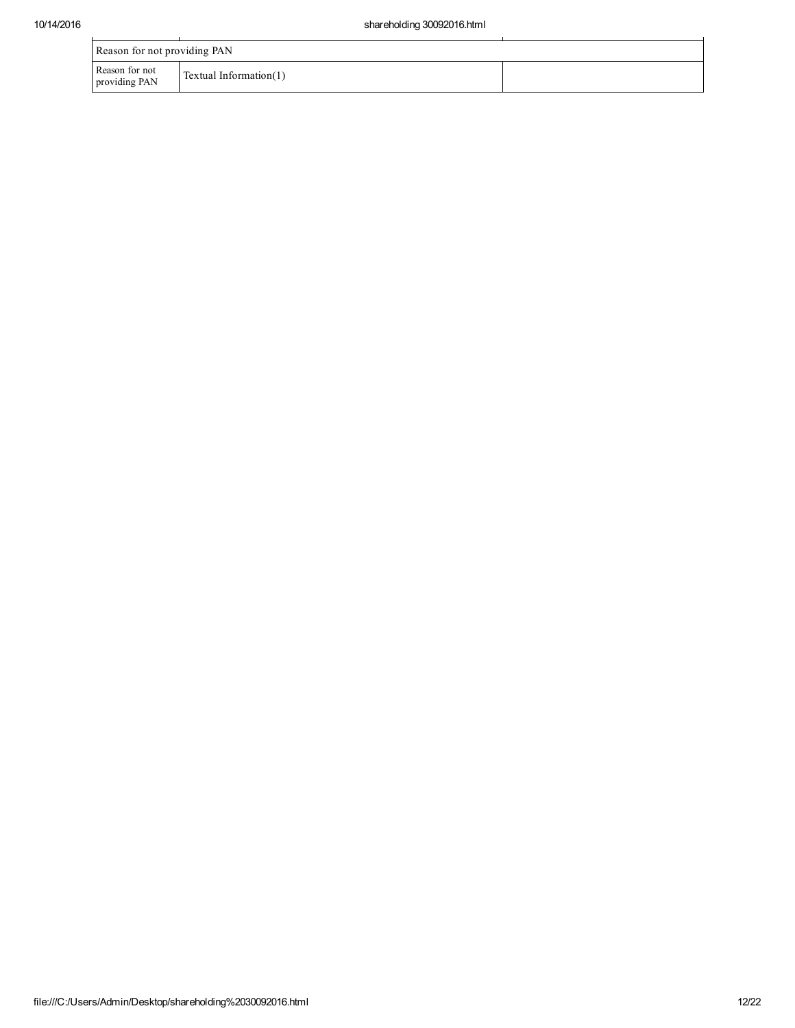| Reason for not providing PAN    |                           |  |
|---------------------------------|---------------------------|--|
| Reason for not<br>providing PAN | Textual Information $(1)$ |  |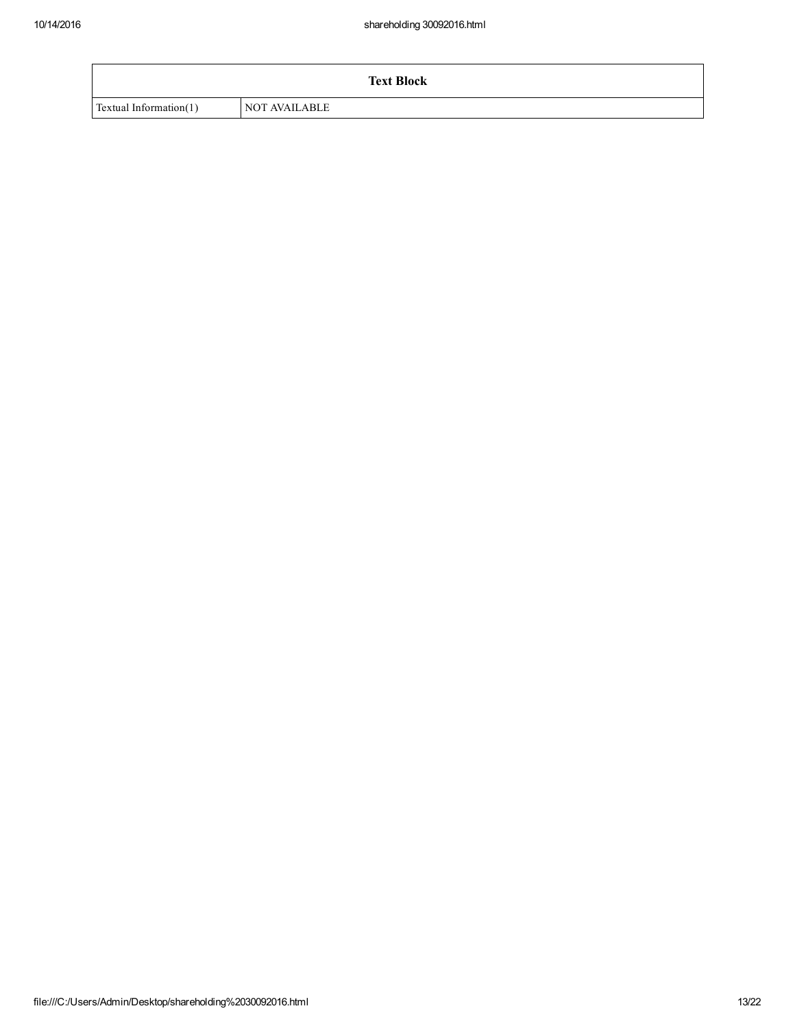|                           | <b>Text Block</b> |
|---------------------------|-------------------|
| Textual Information $(1)$ | NOT AVAILABLE     |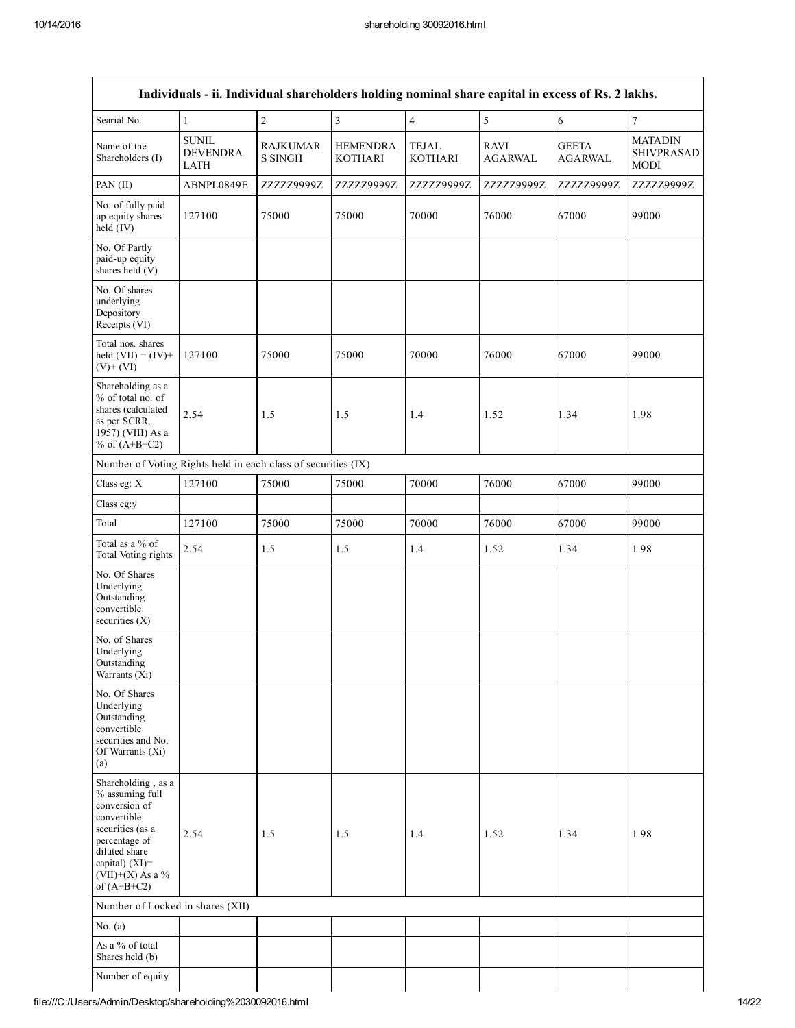| Individuals - ii. Individual shareholders holding nominal share capital in excess of Rs. 2 lakhs.                                                                                    |                                                |                                   |                                   |                                |                               |                                |                                                    |
|--------------------------------------------------------------------------------------------------------------------------------------------------------------------------------------|------------------------------------------------|-----------------------------------|-----------------------------------|--------------------------------|-------------------------------|--------------------------------|----------------------------------------------------|
| Searial No.                                                                                                                                                                          | 1                                              | $\sqrt{2}$                        | $\overline{3}$                    | $\overline{4}$                 | $\sqrt{5}$                    | 6                              | 7                                                  |
| Name of the<br>Shareholders (I)                                                                                                                                                      | <b>SUNIL</b><br><b>DEVENDRA</b><br><b>LATH</b> | <b>RAJKUMAR</b><br><b>S SINGH</b> | <b>HEMENDRA</b><br><b>KOTHARI</b> | <b>TEJAL</b><br><b>KOTHARI</b> | <b>RAVI</b><br><b>AGARWAL</b> | <b>GEETA</b><br><b>AGARWAL</b> | <b>MATADIN</b><br><b>SHIVPRASAD</b><br><b>MODI</b> |
| PAN $(II)$                                                                                                                                                                           | ABNPL0849E                                     | ZZZZZ9999Z                        | ZZZZZ9999Z                        | ZZZZZ9999Z                     | ZZZZZ9999Z                    | ZZZZZ9999Z                     | ZZZZZ9999Z                                         |
| No. of fully paid<br>up equity shares<br>$held$ (IV)                                                                                                                                 | 127100                                         | 75000                             | 75000                             | 70000                          | 76000                         | 67000                          | 99000                                              |
| No. Of Partly<br>paid-up equity<br>shares held (V)                                                                                                                                   |                                                |                                   |                                   |                                |                               |                                |                                                    |
| No. Of shares<br>underlying<br>Depository<br>Receipts (VI)                                                                                                                           |                                                |                                   |                                   |                                |                               |                                |                                                    |
| Total nos. shares<br>held $(VII) = (IV) +$<br>$(V)$ + $(VI)$                                                                                                                         | 127100                                         | 75000                             | 75000                             | 70000                          | 76000                         | 67000                          | 99000                                              |
| Shareholding as a<br>% of total no. of<br>shares (calculated<br>as per SCRR,<br>1957) (VIII) As a<br>% of $(A+B+C2)$                                                                 | 2.54                                           | 1.5                               | 1.5                               | 1.4                            | 1.52                          | 1.34                           | 1.98                                               |
| Number of Voting Rights held in each class of securities (IX)                                                                                                                        |                                                |                                   |                                   |                                |                               |                                |                                                    |
| Class eg: X                                                                                                                                                                          | 127100                                         | 75000                             | 75000                             | 70000                          | 76000                         | 67000                          | 99000                                              |
| Class eg:y                                                                                                                                                                           |                                                |                                   |                                   |                                |                               |                                |                                                    |
| Total                                                                                                                                                                                | 127100                                         | 75000                             | 75000                             | 70000                          | 76000                         | 67000                          | 99000                                              |
| Total as a % of<br>Total Voting rights                                                                                                                                               | 2.54                                           | 1.5                               | 1.5                               | 1.4                            | 1.52                          | 1.34                           | 1.98                                               |
| No. Of Shares<br>Underlying<br>Outstanding<br>convertible<br>securities $(X)$                                                                                                        |                                                |                                   |                                   |                                |                               |                                |                                                    |
| No. of Shares<br>Underlying<br>Outstanding<br>Warrants (Xi)                                                                                                                          |                                                |                                   |                                   |                                |                               |                                |                                                    |
| No. Of Shares<br>Underlying<br>Outstanding<br>convertible<br>securities and No.<br>Of Warrants (Xi)<br>(a)                                                                           |                                                |                                   |                                   |                                |                               |                                |                                                    |
| Shareholding, as a<br>% assuming full<br>conversion of<br>convertible<br>securities (as a<br>percentage of<br>diluted share<br>capital) (XI)=<br>$(VII)+(X)$ As a %<br>of $(A+B+C2)$ | 2.54                                           | 1.5                               | 1.5                               | 1.4                            | 1.52                          | 1.34                           | 1.98                                               |
| Number of Locked in shares (XII)                                                                                                                                                     |                                                |                                   |                                   |                                |                               |                                |                                                    |
| No. $(a)$                                                                                                                                                                            |                                                |                                   |                                   |                                |                               |                                |                                                    |
| As a % of total<br>Shares held (b)                                                                                                                                                   |                                                |                                   |                                   |                                |                               |                                |                                                    |
| Number of equity                                                                                                                                                                     |                                                |                                   |                                   |                                |                               |                                |                                                    |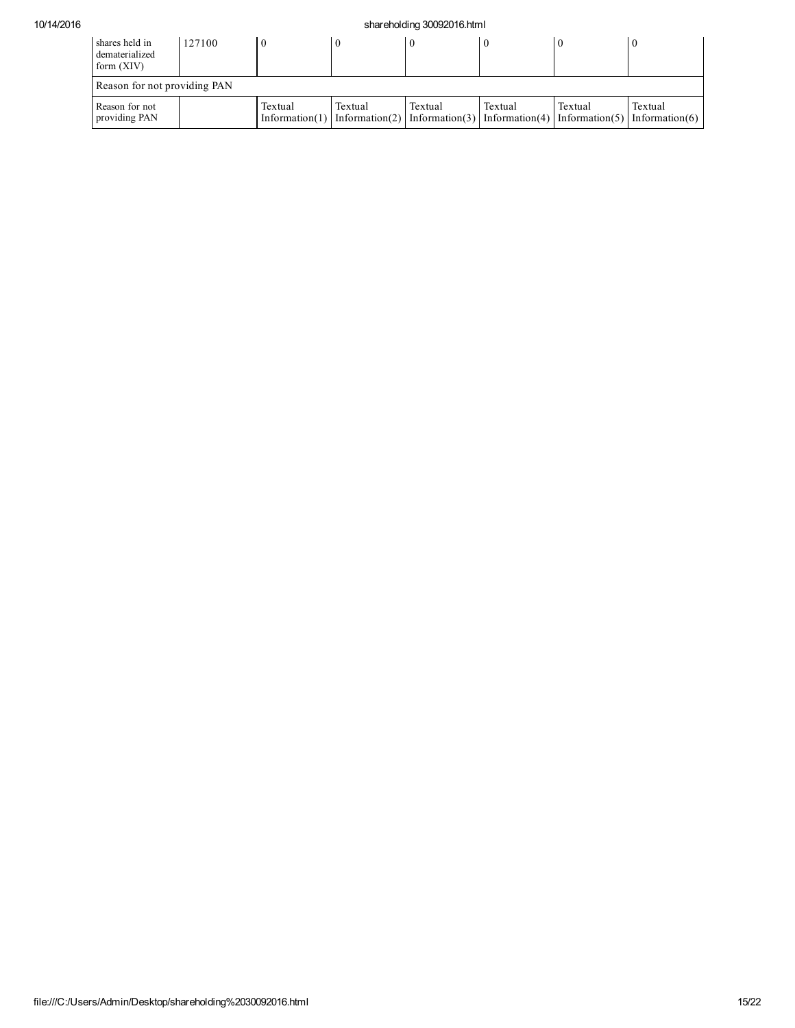## 10/14/2016 shareholding 30092016.html

| shares held in<br>dematerialized<br>form (XIV) | 127100 |         |         |         |         |         | $\theta$                                                                                             |
|------------------------------------------------|--------|---------|---------|---------|---------|---------|------------------------------------------------------------------------------------------------------|
| Reason for not providing PAN                   |        |         |         |         |         |         |                                                                                                      |
| Reason for not<br>providing PAN                |        | Textual | Textual | Textual | Textual | Textual | Textual<br>Information(1) Information(2) Information(3) Information(4) Information(5) Information(6) |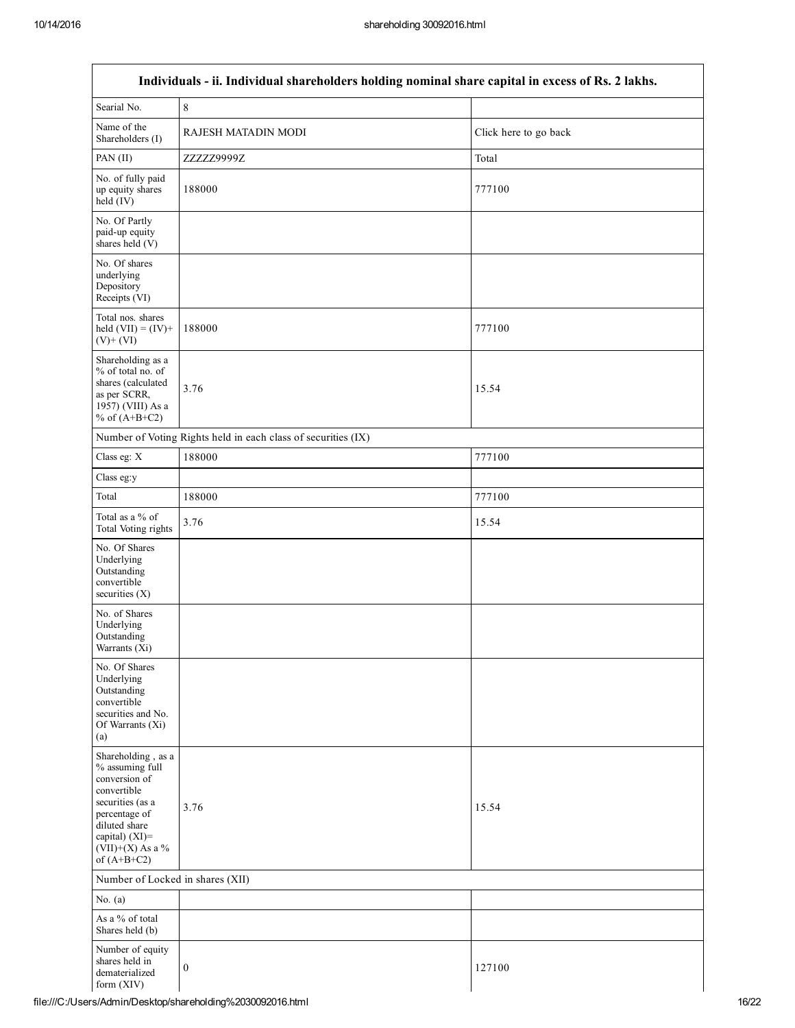Г

| Individuals - ii. Individual shareholders holding nominal share capital in excess of Rs. 2 lakhs.                                                                                    |                                                               |                       |  |
|--------------------------------------------------------------------------------------------------------------------------------------------------------------------------------------|---------------------------------------------------------------|-----------------------|--|
| Searial No.                                                                                                                                                                          | $\,8\,$                                                       |                       |  |
| Name of the<br>Shareholders (I)                                                                                                                                                      | RAJESH MATADIN MODI                                           | Click here to go back |  |
| PAN $(II)$                                                                                                                                                                           | ZZZZZ9999Z                                                    | Total                 |  |
| No. of fully paid<br>up equity shares<br>held (IV)                                                                                                                                   | 188000                                                        | 777100                |  |
| No. Of Partly<br>paid-up equity<br>shares held (V)                                                                                                                                   |                                                               |                       |  |
| No. Of shares<br>underlying<br>Depository<br>Receipts (VI)                                                                                                                           |                                                               |                       |  |
| Total nos. shares<br>held $(VII) = (IV) +$<br>$(V)+(VI)$                                                                                                                             | 188000                                                        | 777100                |  |
| Shareholding as a<br>% of total no. of<br>shares (calculated<br>as per SCRR,<br>1957) (VIII) As a<br>% of $(A+B+C2)$                                                                 | 3.76                                                          | 15.54                 |  |
|                                                                                                                                                                                      | Number of Voting Rights held in each class of securities (IX) |                       |  |
| Class eg: X                                                                                                                                                                          | 188000                                                        | 777100                |  |
| Class eg:y                                                                                                                                                                           |                                                               |                       |  |
| Total                                                                                                                                                                                | 188000                                                        | 777100                |  |
| Total as a % of<br>Total Voting rights                                                                                                                                               | 3.76                                                          | 15.54                 |  |
| No. Of Shares<br>Underlying<br>Outstanding<br>convertible<br>securities $(X)$                                                                                                        |                                                               |                       |  |
| No. of Shares<br>Underlying<br>Outstanding<br>Warrants (Xi)                                                                                                                          |                                                               |                       |  |
| No. Of Shares<br>Underlying<br>Outstanding<br>convertible<br>securities and No.<br>Of Warrants (Xi)<br>(a)                                                                           |                                                               |                       |  |
| Shareholding, as a<br>% assuming full<br>conversion of<br>convertible<br>securities (as a<br>percentage of<br>diluted share<br>capital) (XI)=<br>$(VII)+(X)$ As a %<br>of $(A+B+C2)$ | 3.76                                                          | 15.54                 |  |
| Number of Locked in shares (XII)                                                                                                                                                     |                                                               |                       |  |
| No. $(a)$                                                                                                                                                                            |                                                               |                       |  |
| As a % of total<br>Shares held (b)                                                                                                                                                   |                                                               |                       |  |
| Number of equity<br>shares held in<br>dematerialized<br>form $(XIV)$                                                                                                                 | $\boldsymbol{0}$                                              | 127100                |  |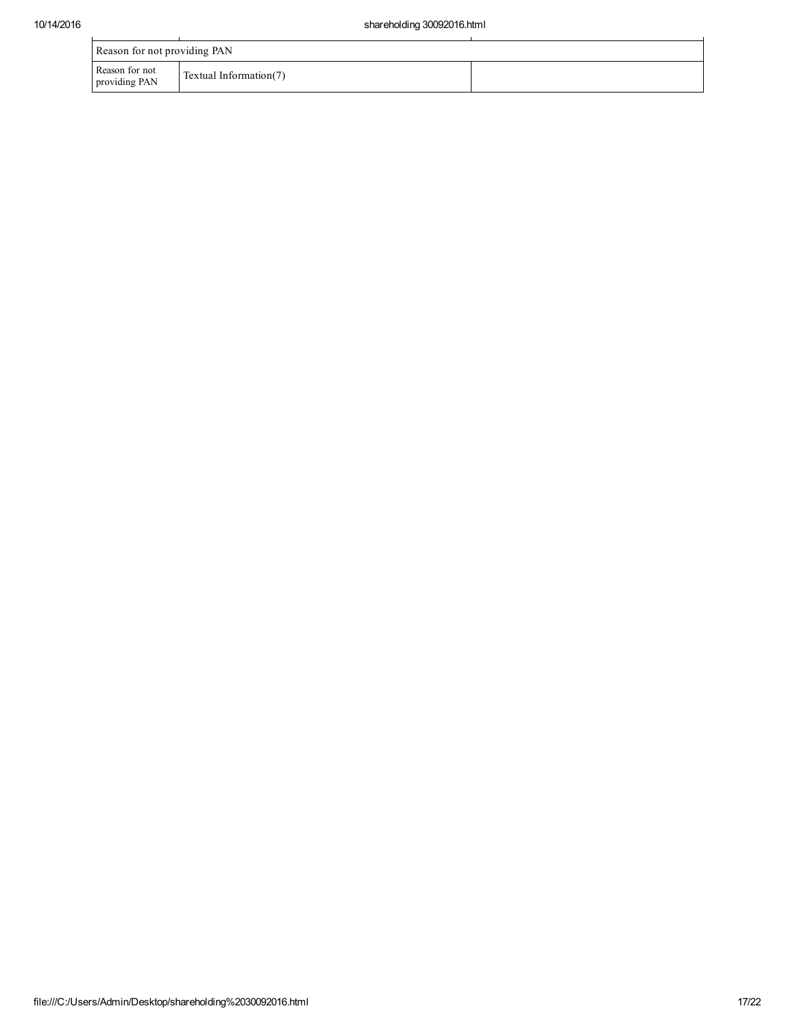| Reason for not providing PAN    |                        |  |
|---------------------------------|------------------------|--|
| Reason for not<br>providing PAN | Textual Information(7) |  |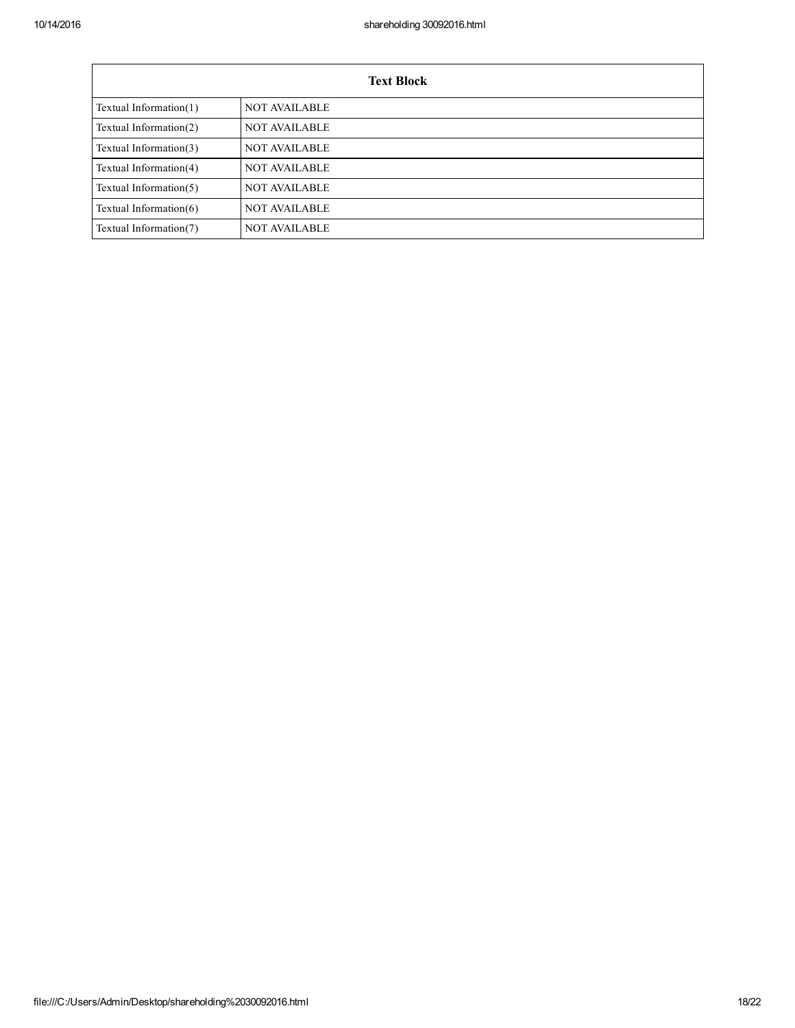| <b>Text Block</b>         |                      |  |  |
|---------------------------|----------------------|--|--|
| Textual Information $(1)$ | <b>NOT AVAILABLE</b> |  |  |
| Textual Information(2)    | <b>NOT AVAILABLE</b> |  |  |
| Textual Information(3)    | <b>NOT AVAILABLE</b> |  |  |
| Textual Information(4)    | <b>NOT AVAILABLE</b> |  |  |
| Textual Information(5)    | <b>NOT AVAILABLE</b> |  |  |
| Textual Information $(6)$ | <b>NOT AVAILABLE</b> |  |  |
| Textual Information(7)    | <b>NOT AVAILABLE</b> |  |  |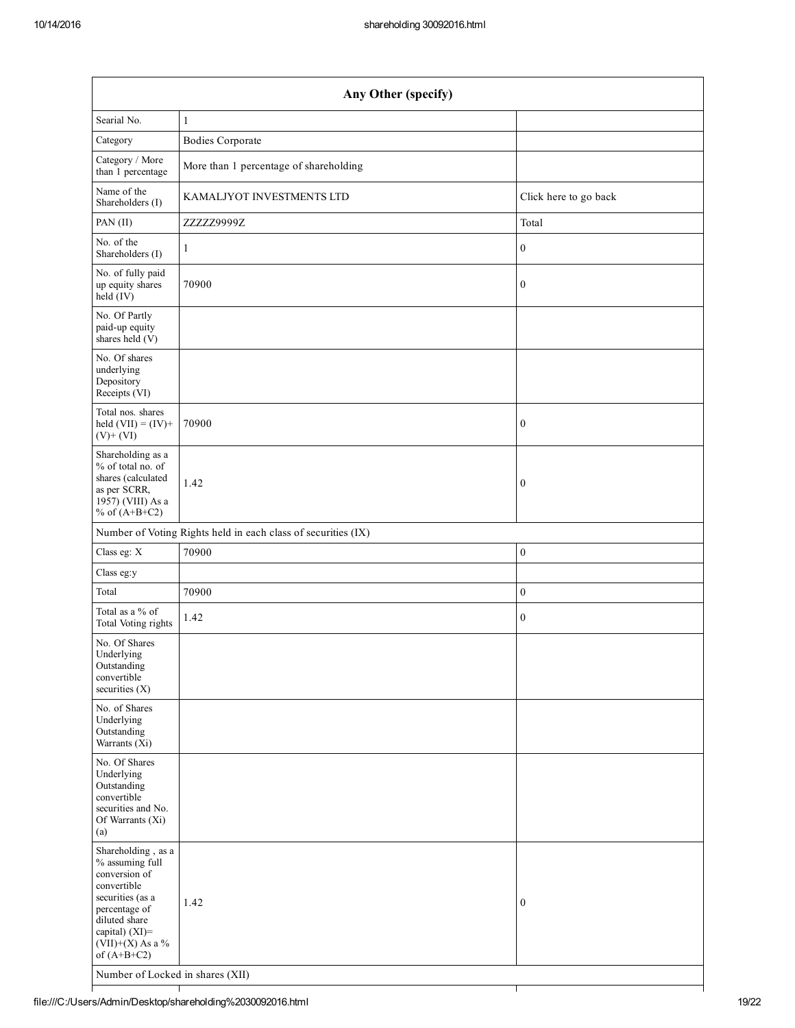| Any Other (specify)                                                                                                                                                                  |                                                               |                       |  |  |  |
|--------------------------------------------------------------------------------------------------------------------------------------------------------------------------------------|---------------------------------------------------------------|-----------------------|--|--|--|
| Searial No.                                                                                                                                                                          | $\mathbf{1}$                                                  |                       |  |  |  |
| Category                                                                                                                                                                             | <b>Bodies Corporate</b>                                       |                       |  |  |  |
| Category / More<br>than 1 percentage                                                                                                                                                 | More than 1 percentage of shareholding                        |                       |  |  |  |
| Name of the<br>Shareholders (I)                                                                                                                                                      | KAMALJYOT INVESTMENTS LTD                                     | Click here to go back |  |  |  |
| PAN (II)                                                                                                                                                                             | ZZZZZ9999Z                                                    | Total                 |  |  |  |
| No. of the<br>Shareholders (I)                                                                                                                                                       | $\mathbf{1}$                                                  | $\boldsymbol{0}$      |  |  |  |
| No. of fully paid<br>up equity shares<br>held (IV)                                                                                                                                   | 70900                                                         | $\boldsymbol{0}$      |  |  |  |
| No. Of Partly<br>paid-up equity<br>shares held (V)                                                                                                                                   |                                                               |                       |  |  |  |
| No. Of shares<br>underlying<br>Depository<br>Receipts (VI)                                                                                                                           |                                                               |                       |  |  |  |
| Total nos. shares<br>held $(VII) = (IV) +$<br>$(V)$ + $(VI)$                                                                                                                         | 70900                                                         | $\boldsymbol{0}$      |  |  |  |
| Shareholding as a<br>% of total no. of<br>shares (calculated<br>as per SCRR,<br>1957) (VIII) As a<br>% of $(A+B+C2)$                                                                 | 1.42                                                          | $\mathbf{0}$          |  |  |  |
|                                                                                                                                                                                      | Number of Voting Rights held in each class of securities (IX) |                       |  |  |  |
| Class eg: X                                                                                                                                                                          | 70900                                                         | $\boldsymbol{0}$      |  |  |  |
| Class eg:y                                                                                                                                                                           |                                                               |                       |  |  |  |
| Total                                                                                                                                                                                | 70900                                                         | $\boldsymbol{0}$      |  |  |  |
| Total as a % of<br>Total Voting rights                                                                                                                                               | 1.42                                                          | $\boldsymbol{0}$      |  |  |  |
| No. Of Shares<br>Underlying<br>Outstanding<br>convertible<br>securities (X)                                                                                                          |                                                               |                       |  |  |  |
| No. of Shares<br>Underlying<br>Outstanding<br>Warrants $(Xi)$                                                                                                                        |                                                               |                       |  |  |  |
| No. Of Shares<br>Underlying<br>Outstanding<br>convertible<br>securities and No.<br>Of Warrants (Xi)<br>(a)                                                                           |                                                               |                       |  |  |  |
| Shareholding, as a<br>% assuming full<br>conversion of<br>convertible<br>securities (as a<br>percentage of<br>diluted share<br>capital) (XI)=<br>$(VII)+(X)$ As a %<br>of $(A+B+C2)$ | 1.42                                                          | $\boldsymbol{0}$      |  |  |  |
| Number of Locked in shares (XII)                                                                                                                                                     |                                                               |                       |  |  |  |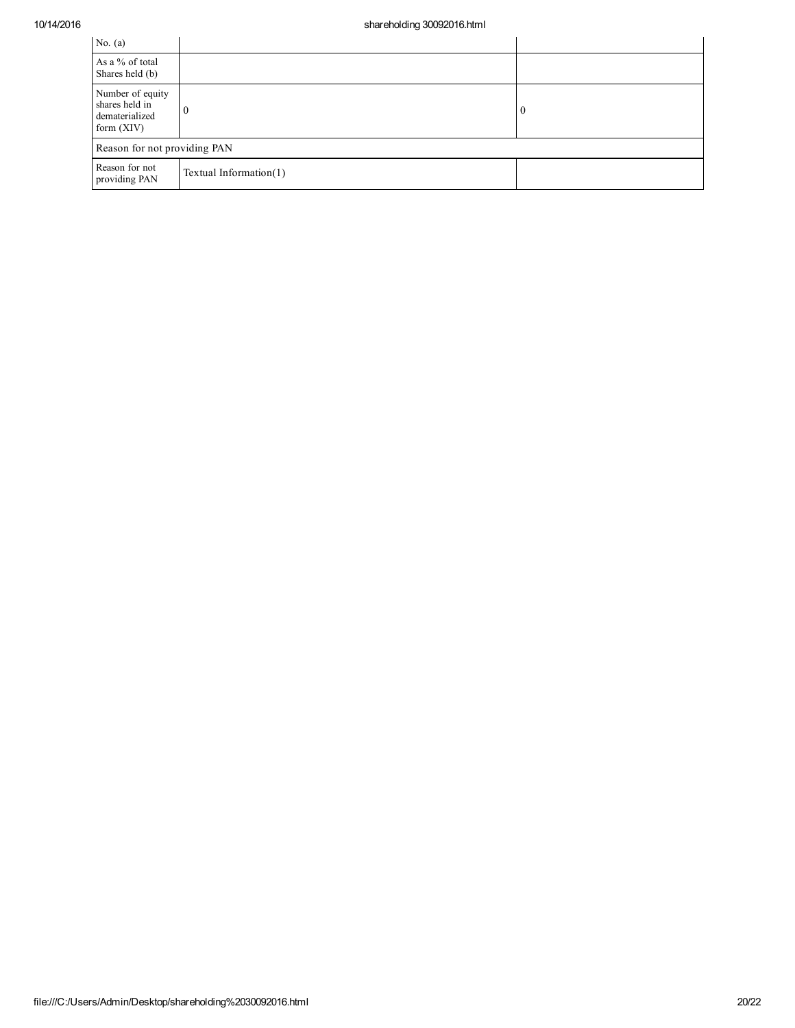| No. $(a)$                                                            |                           |          |
|----------------------------------------------------------------------|---------------------------|----------|
| As a % of total<br>Shares held (b)                                   |                           |          |
| Number of equity<br>shares held in<br>dematerialized<br>form $(XIV)$ | v                         | $\theta$ |
| Reason for not providing PAN                                         |                           |          |
| Reason for not<br>providing PAN                                      | Textual Information $(1)$ |          |